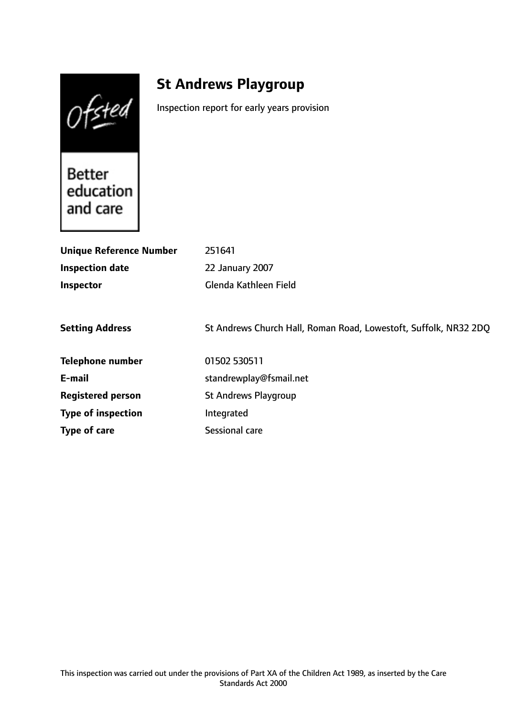Ofsted

# **St Andrews Playgroup**

Inspection report for early years provision

**Better** education and care

| <b>Unique Reference Number</b> | 251641                                                           |
|--------------------------------|------------------------------------------------------------------|
| <b>Inspection date</b>         | 22 January 2007                                                  |
| Inspector                      | Glenda Kathleen Field                                            |
|                                |                                                                  |
| <b>Setting Address</b>         | St Andrews Church Hall, Roman Road, Lowestoft, Suffolk, NR32 2DQ |
| <b>Telephone number</b>        | 01502 530511                                                     |
| E-mail                         | standrewplay@fsmail.net                                          |
| <b>Registered person</b>       | <b>St Andrews Playgroup</b>                                      |
| <b>Type of inspection</b>      | Integrated                                                       |
| Type of care                   | Sessional care                                                   |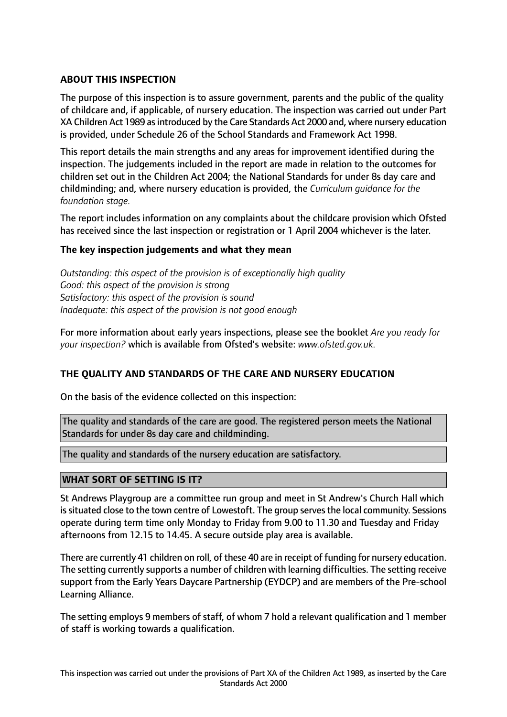# **ABOUT THIS INSPECTION**

The purpose of this inspection is to assure government, parents and the public of the quality of childcare and, if applicable, of nursery education. The inspection was carried out under Part XA Children Act 1989 as introduced by the Care Standards Act 2000 and, where nursery education is provided, under Schedule 26 of the School Standards and Framework Act 1998.

This report details the main strengths and any areas for improvement identified during the inspection. The judgements included in the report are made in relation to the outcomes for children set out in the Children Act 2004; the National Standards for under 8s day care and childminding; and, where nursery education is provided, the *Curriculum guidance for the foundation stage.*

The report includes information on any complaints about the childcare provision which Ofsted has received since the last inspection or registration or 1 April 2004 whichever is the later.

## **The key inspection judgements and what they mean**

*Outstanding: this aspect of the provision is of exceptionally high quality Good: this aspect of the provision is strong Satisfactory: this aspect of the provision is sound Inadequate: this aspect of the provision is not good enough*

For more information about early years inspections, please see the booklet *Are you ready for your inspection?* which is available from Ofsted's website: *www.ofsted.gov.uk.*

## **THE QUALITY AND STANDARDS OF THE CARE AND NURSERY EDUCATION**

On the basis of the evidence collected on this inspection:

The quality and standards of the care are good. The registered person meets the National Standards for under 8s day care and childminding.

The quality and standards of the nursery education are satisfactory.

## **WHAT SORT OF SETTING IS IT?**

St Andrews Playgroup are a committee run group and meet in St Andrew's Church Hall which is situated close to the town centre of Lowestoft. The group serves the local community. Sessions operate during term time only Monday to Friday from 9.00 to 11.30 and Tuesday and Friday afternoons from 12.15 to 14.45. A secure outside play area is available.

There are currently 41 children on roll, of these 40 are in receipt of funding for nursery education. The setting currently supports a number of children with learning difficulties. The setting receive support from the Early Years Daycare Partnership (EYDCP) and are members of the Pre-school Learning Alliance.

The setting employs 9 members of staff, of whom 7 hold a relevant qualification and 1 member of staff is working towards a qualification.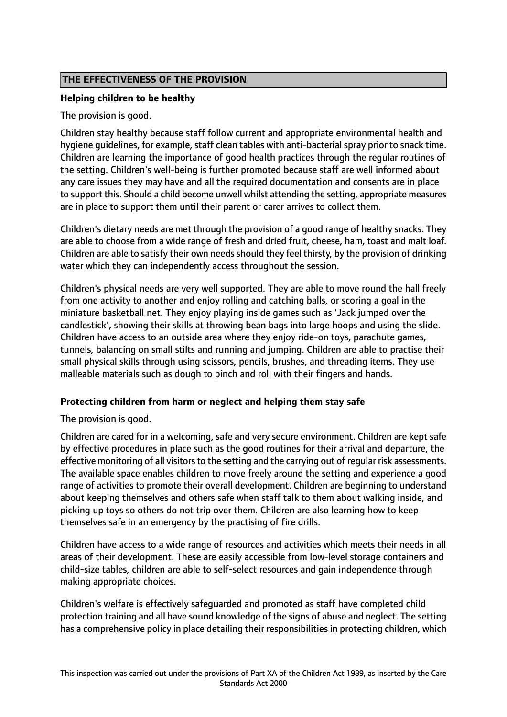# **THE EFFECTIVENESS OF THE PROVISION**

## **Helping children to be healthy**

The provision is good.

Children stay healthy because staff follow current and appropriate environmental health and hygiene guidelines, for example, staff clean tables with anti-bacterial spray prior to snack time. Children are learning the importance of good health practices through the regular routines of the setting. Children's well-being is further promoted because staff are well informed about any care issues they may have and all the required documentation and consents are in place to support this. Should a child become unwell whilst attending the setting, appropriate measures are in place to support them until their parent or carer arrives to collect them.

Children's dietary needs are met through the provision of a good range of healthy snacks. They are able to choose from a wide range of fresh and dried fruit, cheese, ham, toast and malt loaf. Children are able to satisfy their own needs should they feel thirsty, by the provision of drinking water which they can independently access throughout the session.

Children's physical needs are very well supported. They are able to move round the hall freely from one activity to another and enjoy rolling and catching balls, or scoring a goal in the miniature basketball net. They enjoy playing inside games such as 'Jack jumped over the candlestick', showing their skills at throwing bean bags into large hoops and using the slide. Children have access to an outside area where they enjoy ride-on toys, parachute games, tunnels, balancing on small stilts and running and jumping. Children are able to practise their small physical skills through using scissors, pencils, brushes, and threading items. They use malleable materials such as dough to pinch and roll with their fingers and hands.

## **Protecting children from harm or neglect and helping them stay safe**

The provision is good.

Children are cared for in a welcoming, safe and very secure environment. Children are kept safe by effective procedures in place such as the good routines for their arrival and departure, the effective monitoring of all visitors to the setting and the carrying out of regular risk assessments. The available space enables children to move freely around the setting and experience a good range of activities to promote their overall development. Children are beginning to understand about keeping themselves and others safe when staff talk to them about walking inside, and picking up toys so others do not trip over them. Children are also learning how to keep themselves safe in an emergency by the practising of fire drills.

Children have access to a wide range of resources and activities which meets their needs in all areas of their development. These are easily accessible from low-level storage containers and child-size tables, children are able to self-select resources and gain independence through making appropriate choices.

Children's welfare is effectively safeguarded and promoted as staff have completed child protection training and all have sound knowledge of the signs of abuse and neglect. The setting has a comprehensive policy in place detailing their responsibilities in protecting children, which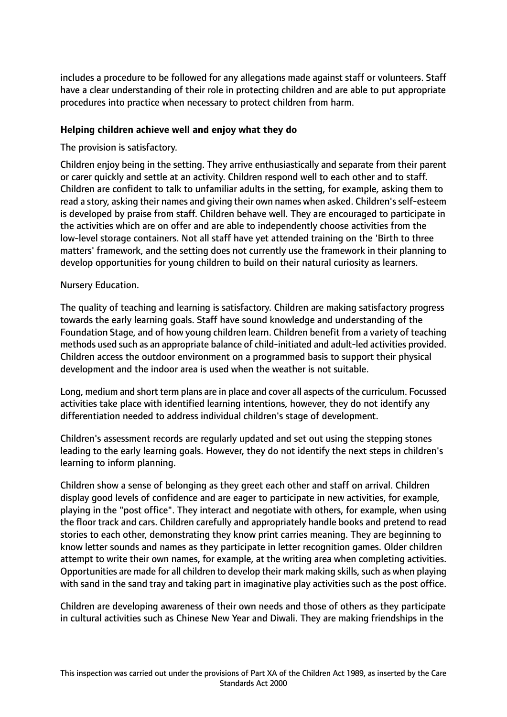includes a procedure to be followed for any allegations made against staff or volunteers. Staff have a clear understanding of their role in protecting children and are able to put appropriate procedures into practice when necessary to protect children from harm.

# **Helping children achieve well and enjoy what they do**

# The provision is satisfactory.

Children enjoy being in the setting. They arrive enthusiastically and separate from their parent or carer quickly and settle at an activity. Children respond well to each other and to staff. Children are confident to talk to unfamiliar adults in the setting, for example, asking them to read a story, asking their names and giving their own names when asked. Children's self-esteem is developed by praise from staff. Children behave well. They are encouraged to participate in the activities which are on offer and are able to independently choose activities from the low-level storage containers. Not all staff have yet attended training on the 'Birth to three matters' framework, and the setting does not currently use the framework in their planning to develop opportunities for young children to build on their natural curiosity as learners.

# Nursery Education.

The quality of teaching and learning is satisfactory. Children are making satisfactory progress towards the early learning goals. Staff have sound knowledge and understanding of the Foundation Stage, and of how young children learn. Children benefit from a variety of teaching methods used such as an appropriate balance of child-initiated and adult-led activities provided. Children access the outdoor environment on a programmed basis to support their physical development and the indoor area is used when the weather is not suitable.

Long, medium and short term plans are in place and cover all aspects of the curriculum. Focussed activities take place with identified learning intentions, however, they do not identify any differentiation needed to address individual children's stage of development.

Children's assessment records are regularly updated and set out using the stepping stones leading to the early learning goals. However, they do not identify the next steps in children's learning to inform planning.

Children show a sense of belonging as they greet each other and staff on arrival. Children display good levels of confidence and are eager to participate in new activities, for example, playing in the "post office". They interact and negotiate with others, for example, when using the floor track and cars. Children carefully and appropriately handle books and pretend to read stories to each other, demonstrating they know print carries meaning. They are beginning to know letter sounds and names as they participate in letter recognition games. Older children attempt to write their own names, for example, at the writing area when completing activities. Opportunities are made for all children to develop their mark making skills, such as when playing with sand in the sand tray and taking part in imaginative play activities such as the post office.

Children are developing awareness of their own needs and those of others as they participate in cultural activities such as Chinese New Year and Diwali. They are making friendships in the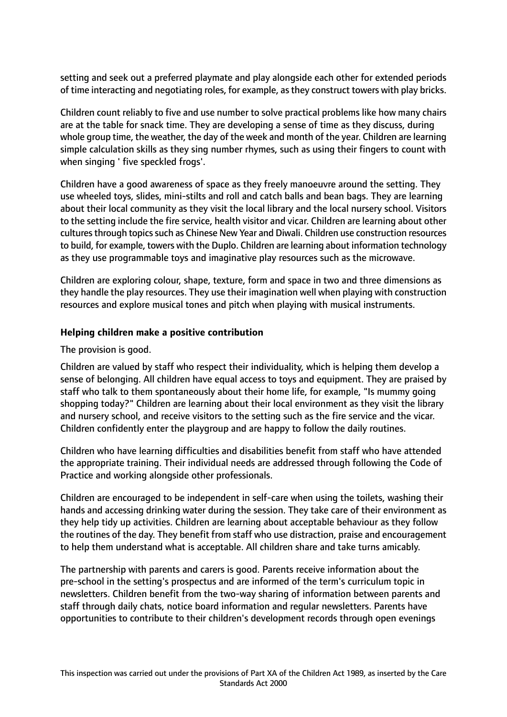setting and seek out a preferred playmate and play alongside each other for extended periods of time interacting and negotiating roles, for example, as they construct towers with play bricks.

Children count reliably to five and use number to solve practical problems like how many chairs are at the table for snack time. They are developing a sense of time as they discuss, during whole group time, the weather, the day of the week and month of the year. Children are learning simple calculation skills as they sing number rhymes, such as using their fingers to count with when singing ' five speckled frogs'.

Children have a good awareness of space as they freely manoeuvre around the setting. They use wheeled toys, slides, mini-stilts and roll and catch balls and bean bags. They are learning about their local community as they visit the local library and the local nursery school. Visitors to the setting include the fire service, health visitor and vicar. Children are learning about other cultures through topics such as Chinese New Year and Diwali. Children use construction resources to build, for example, towers with the Duplo. Children are learning about information technology as they use programmable toys and imaginative play resources such as the microwave.

Children are exploring colour, shape, texture, form and space in two and three dimensions as they handle the play resources. They use their imagination well when playing with construction resources and explore musical tones and pitch when playing with musical instruments.

# **Helping children make a positive contribution**

The provision is good.

Children are valued by staff who respect their individuality, which is helping them develop a sense of belonging. All children have equal access to toys and equipment. They are praised by staff who talk to them spontaneously about their home life, for example, "Is mummy going shopping today?" Children are learning about their local environment as they visit the library and nursery school, and receive visitors to the setting such as the fire service and the vicar. Children confidently enter the playgroup and are happy to follow the daily routines.

Children who have learning difficulties and disabilities benefit from staff who have attended the appropriate training. Their individual needs are addressed through following the Code of Practice and working alongside other professionals.

Children are encouraged to be independent in self-care when using the toilets, washing their hands and accessing drinking water during the session. They take care of their environment as they help tidy up activities. Children are learning about acceptable behaviour as they follow the routines of the day. They benefit from staff who use distraction, praise and encouragement to help them understand what is acceptable. All children share and take turns amicably.

The partnership with parents and carers is good. Parents receive information about the pre-school in the setting's prospectus and are informed of the term's curriculum topic in newsletters. Children benefit from the two-way sharing of information between parents and staff through daily chats, notice board information and regular newsletters. Parents have opportunities to contribute to their children's development records through open evenings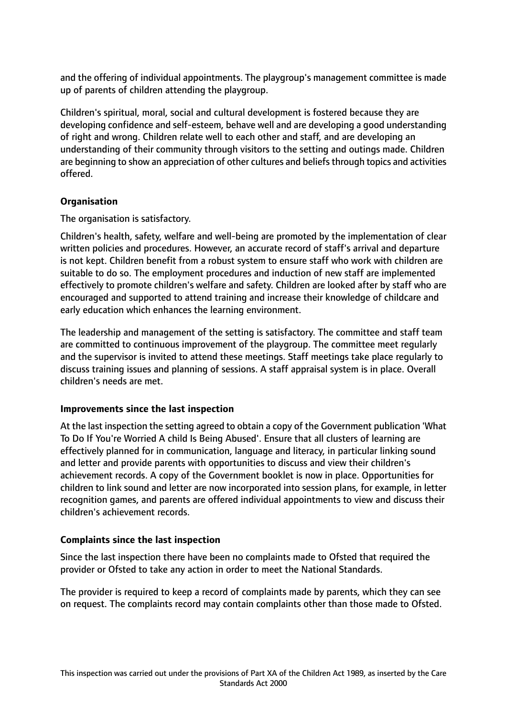and the offering of individual appointments. The playgroup's management committee is made up of parents of children attending the playgroup.

Children's spiritual, moral, social and cultural development is fostered because they are developing confidence and self-esteem, behave well and are developing a good understanding of right and wrong. Children relate well to each other and staff, and are developing an understanding of their community through visitors to the setting and outings made. Children are beginning to show an appreciation of other cultures and beliefs through topics and activities offered.

# **Organisation**

The organisation is satisfactory.

Children's health, safety, welfare and well-being are promoted by the implementation of clear written policies and procedures. However, an accurate record of staff's arrival and departure is not kept. Children benefit from a robust system to ensure staff who work with children are suitable to do so. The employment procedures and induction of new staff are implemented effectively to promote children's welfare and safety. Children are looked after by staff who are encouraged and supported to attend training and increase their knowledge of childcare and early education which enhances the learning environment.

The leadership and management of the setting is satisfactory. The committee and staff team are committed to continuous improvement of the playgroup. The committee meet regularly and the supervisor is invited to attend these meetings. Staff meetings take place regularly to discuss training issues and planning of sessions. A staff appraisal system is in place. Overall children's needs are met.

## **Improvements since the last inspection**

At the last inspection the setting agreed to obtain a copy of the Government publication 'What To Do If You're Worried A child Is Being Abused'. Ensure that all clusters of learning are effectively planned for in communication, language and literacy, in particular linking sound and letter and provide parents with opportunities to discuss and view their children's achievement records. A copy of the Government booklet is now in place. Opportunities for children to link sound and letter are now incorporated into session plans, for example, in letter recognition games, and parents are offered individual appointments to view and discuss their children's achievement records.

## **Complaints since the last inspection**

Since the last inspection there have been no complaints made to Ofsted that required the provider or Ofsted to take any action in order to meet the National Standards.

The provider is required to keep a record of complaints made by parents, which they can see on request. The complaints record may contain complaints other than those made to Ofsted.